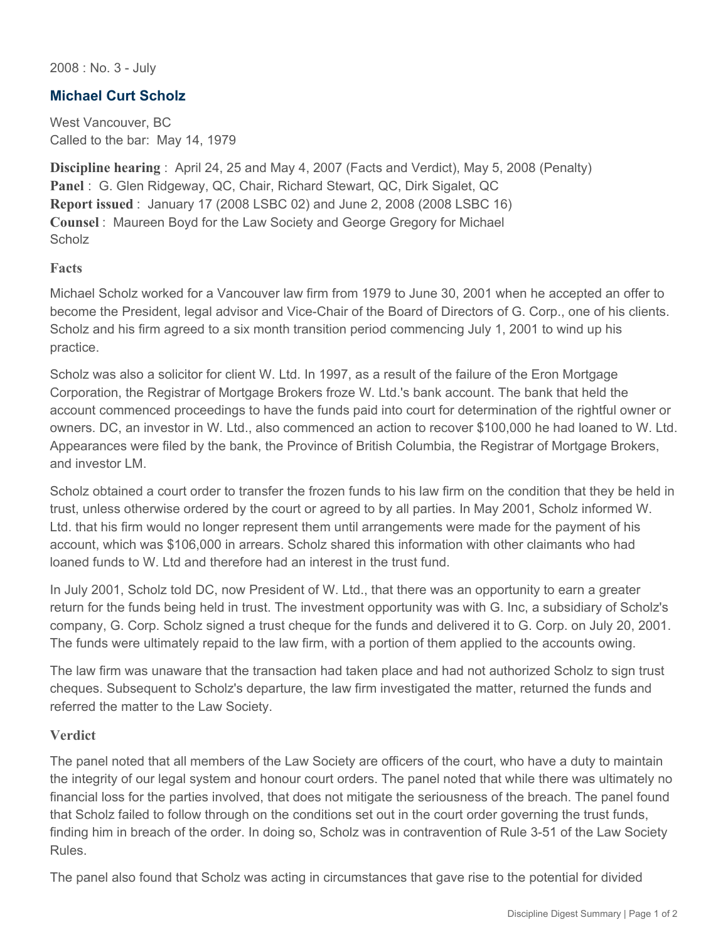2008 : No. 3 - July

## **Michael Curt Scholz**

West Vancouver, BC Called to the bar: May 14, 1979

**Discipline hearing** : April 24, 25 and May 4, 2007 (Facts and Verdict), May 5, 2008 (Penalty) **Panel** : G. Glen Ridgeway, QC, Chair, Richard Stewart, QC, Dirk Sigalet, QC **Report issued** : January 17 (2008 LSBC 02) and June 2, 2008 (2008 LSBC 16) **Counsel** : Maureen Boyd for the Law Society and George Gregory for Michael **Scholz** 

## **Facts**

Michael Scholz worked for a Vancouver law firm from 1979 to June 30, 2001 when he accepted an offer to become the President, legal advisor and Vice-Chair of the Board of Directors of G. Corp., one of his clients. Scholz and his firm agreed to a six month transition period commencing July 1, 2001 to wind up his practice.

Scholz was also a solicitor for client W. Ltd. In 1997, as a result of the failure of the Eron Mortgage Corporation, the Registrar of Mortgage Brokers froze W. Ltd.'s bank account. The bank that held the account commenced proceedings to have the funds paid into court for determination of the rightful owner or owners. DC, an investor in W. Ltd., also commenced an action to recover \$100,000 he had loaned to W. Ltd. Appearances were filed by the bank, the Province of British Columbia, the Registrar of Mortgage Brokers, and investor LM.

Scholz obtained a court order to transfer the frozen funds to his law firm on the condition that they be held in trust, unless otherwise ordered by the court or agreed to by all parties. In May 2001, Scholz informed W. Ltd. that his firm would no longer represent them until arrangements were made for the payment of his account, which was \$106,000 in arrears. Scholz shared this information with other claimants who had loaned funds to W. Ltd and therefore had an interest in the trust fund.

In July 2001, Scholz told DC, now President of W. Ltd., that there was an opportunity to earn a greater return for the funds being held in trust. The investment opportunity was with G. Inc, a subsidiary of Scholz's company, G. Corp. Scholz signed a trust cheque for the funds and delivered it to G. Corp. on July 20, 2001. The funds were ultimately repaid to the law firm, with a portion of them applied to the accounts owing.

The law firm was unaware that the transaction had taken place and had not authorized Scholz to sign trust cheques. Subsequent to Scholz's departure, the law firm investigated the matter, returned the funds and referred the matter to the Law Society.

## **Verdict**

The panel noted that all members of the Law Society are officers of the court, who have a duty to maintain the integrity of our legal system and honour court orders. The panel noted that while there was ultimately no financial loss for the parties involved, that does not mitigate the seriousness of the breach. The panel found that Scholz failed to follow through on the conditions set out in the court order governing the trust funds, finding him in breach of the order. In doing so, Scholz was in contravention of Rule 3-51 of the Law Society Rules.

The panel also found that Scholz was acting in circumstances that gave rise to the potential for divided